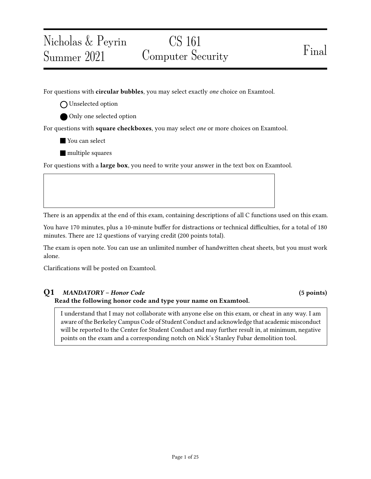# CS 161 Computer Security Final

For questions with **circular bubbles**, you may select exactly *one* choice on Examtool.

O Unselected option

Nicholas & Peyrin

Summer 2021

Only one selected option

For questions with **square checkboxes**, you may select one or more choices on Examtool.

You can select

**nultiple** squares

For questions with a large box, you need to write your answer in the text box on Examtool.

There is an appendix at the end of this exam, containing descriptions of all C functions used on this exam.

You have 170 minutes, plus a 10-minute buffer for distractions or technical difficulties, for a total of 180 minutes. There are 12 questions of varying credit (200 points total).

The exam is open note. You can use an unlimited number of handwritten cheat sheets, but you must work alone.

Clarifications will be posted on Examtool.

#### Q1 MANDATORY – Honor Code (5 points) Read the following honor code and type your name on Examtool.

I understand that I may not collaborate with anyone else on this exam, or cheat in any way. I am aware of the Berkeley Campus Code of Student Conduct and acknowledge that academic misconduct will be reported to the Center for Student Conduct and may further result in, at minimum, negative points on the exam and a corresponding notch on Nick's Stanley Fubar demolition tool.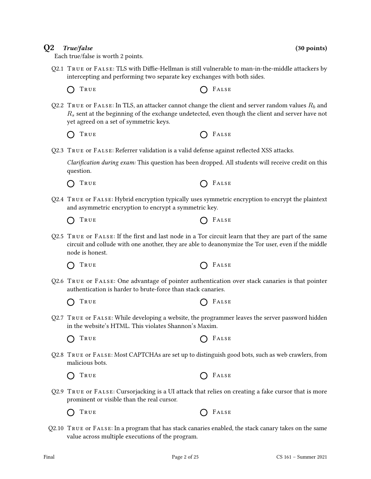### $Q2$  True/false (30 points)

Each true/false is worth 2 points.

- Q2.1 TRUE or FALSE: TLS with Diffie-Hellman is still vulnerable to man-in-the-middle attackers by intercepting and performing two separate key exchanges with both sides.
	- $\bigcap$  True  $\bigcap$  False
- Q2.2 TRUE or FALSE: In TLS, an attacker cannot change the client and server random values  $R_b$  and  $R<sub>s</sub>$  sent at the beginning of the exchange undetected, even though the client and server have not yet agreed on a set of symmetric keys.
	- $\bigcap$  True  $\bigcap$  False
- Q2.3 TRUE or FALSE: Referrer validation is a valid defense against reflected XSS attacks.

Clarification during exam: This question has been dropped. All students will receive credit on this question.

- $\bigcap$  True  $\bigcap$  False
- Q2.4 True or False: Hybrid encryption typically uses symmetric encryption to encrypt the plaintext and asymmetric encryption to encrypt a symmetric key.
	- TRUE **CELLE**  $\left( \right)$
- Q2.5 TRUE or  $FALSE$ : If the first and last node in a Tor circuit learn that they are part of the same circuit and collude with one another, they are able to deanonymize the Tor user, even if the middle node is honest.
	- $\bigcap$  True  $\bigcap$  False
- Q2.6 True or False: One advantage of pointer authentication over stack canaries is that pointer authentication is harder to brute-force than stack canaries.
	- $\bigcap$  True  $\bigcap$  False
- Q2.7 True or False: While developing a website, the programmer leaves the server password hidden in the website's HTML. This violates Shannon's Maxim.
	- $\bigcap$  True  $\bigcap$  False
- Q2.8 True or False: Most CAPTCHAs are set up to distinguish good bots, such as web crawlers, from malicious bots.
	- $\bigcap$  True  $\bigcap$  False
- Q2.9 True or False: Cursorjacking is a UI attack that relies on creating a fake cursor that is more prominent or visible than the real cursor.
	- True False
- Q2.10 True or False: In a program that has stack canaries enabled, the stack canary takes on the same value across multiple executions of the program.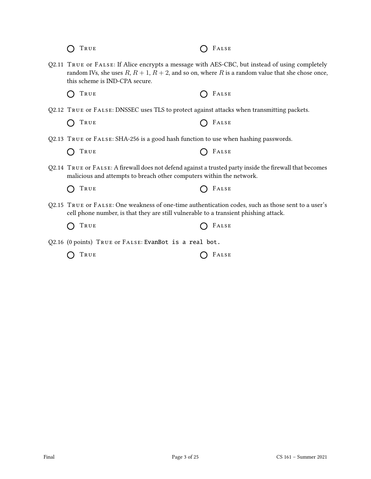| TRUE                                                                                                                                                                                       | FALSE                                                                                                      |
|--------------------------------------------------------------------------------------------------------------------------------------------------------------------------------------------|------------------------------------------------------------------------------------------------------------|
| Q2.11 TRUE or FALSE: If Alice encrypts a message with AES-CBC, but instead of using completely<br>this scheme is IND-CPA secure.                                                           | random IVs, she uses $R$ , $R + 1$ , $R + 2$ , and so on, where $R$ is a random value that she chose once, |
| TRUE                                                                                                                                                                                       | FALSE                                                                                                      |
| Q2.12 TRUE OF FALSE: DNSSEC uses TLS to protect against attacks when transmitting packets.                                                                                                 |                                                                                                            |
| TRUE                                                                                                                                                                                       | FALSE                                                                                                      |
| Q2.13 TRUE OF FALSE: SHA-256 is a good hash function to use when hashing passwords.                                                                                                        |                                                                                                            |
| TRUE                                                                                                                                                                                       | FALSE                                                                                                      |
| Q2.14 TRUE or FALSE: A firewall does not defend against a trusted party inside the firewall that becomes<br>malicious and attempts to breach other computers within the network.           |                                                                                                            |
| TRUE                                                                                                                                                                                       | FALSE                                                                                                      |
| Q2.15 TRUE or FALSE: One weakness of one-time authentication codes, such as those sent to a user's<br>cell phone number, is that they are still vulnerable to a transient phishing attack. |                                                                                                            |
| True                                                                                                                                                                                       | FALSE                                                                                                      |
| Q2.16 (0 points) TRUE or FALSE: EvanBot is a real bot.                                                                                                                                     |                                                                                                            |
| TRUE                                                                                                                                                                                       | FALSE                                                                                                      |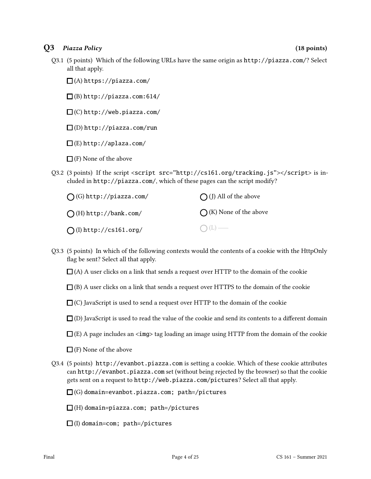### Q3 Piazza Policy (18 points)

Q3.1 (5 points) Which of the following URLs have the same origin as http://piazza.com/? Select all that apply.

 $\Box$ (A) https://piazza.com/

(B) http://piazza.com:614/

 $\square$  (C) http://web.piazza.com/

 $\square$ (D) http://piazza.com/run

 $\square$ (E) http://aplaza.com/

 $\Box$  (F) None of the above

Q3.2 (3 points) If the script <script src="http://cs161.org/tracking.js"></script> is included in http://piazza.com/, which of these pages can the script modify?

| $\bigcap$ (G) http://piazza.com/ | $\bigcap$ (J) All of the above  |
|----------------------------------|---------------------------------|
| $\bigcap$ (H) http://bank.com/   | $\bigcap$ (K) None of the above |
| $\bigcap$ (I) http://cs161.org/  | $O(L)$ —                        |

- Q3.3 (5 points) In which of the following contexts would the contents of a cookie with the HttpOnly flag be sent? Select all that apply.
	- $\Box$  (A) A user clicks on a link that sends a request over HTTP to the domain of the cookie
	- $\Box$  (B) A user clicks on a link that sends a request over HTTPS to the domain of the cookie
	- $\Box$  (C) JavaScript is used to send a request over HTTP to the domain of the cookie

 $\Box$  (D) JavaScript is used to read the value of the cookie and send its contents to a different domain

- $\Box$  (E) A page includes an  $\langle \angle \Box$  tag loading an image using HTTP from the domain of the cookie
- $\Box$  (F) None of the above
- Q3.4 (5 points) http://evanbot.piazza.com is setting a cookie. Which of these cookie attributes can http://evanbot.piazza.com set (without being rejected by the browser) so that the cookie gets sent on a request to http://web.piazza.com/pictures? Select all that apply.

 $\Box$  (G) domain=evanbot.piazza.com; path=/pictures

- $\Box$ (H) domain=piazza.com; path=/pictures
- $\Box$ (I) domain=com; path=/pictures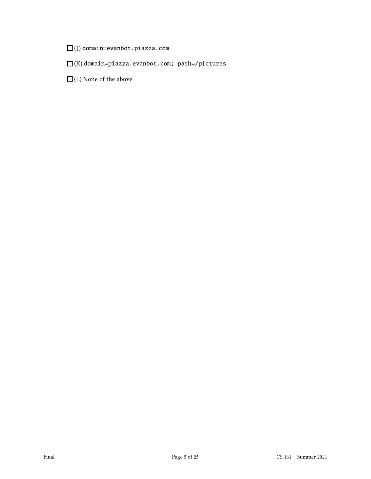$\square$ (J) domain=evanbot.piazza.com

 $\square$ (K) domain=piazza.evanbot.com; path=/pictures

 $\hfill\Box$  (L) None of the above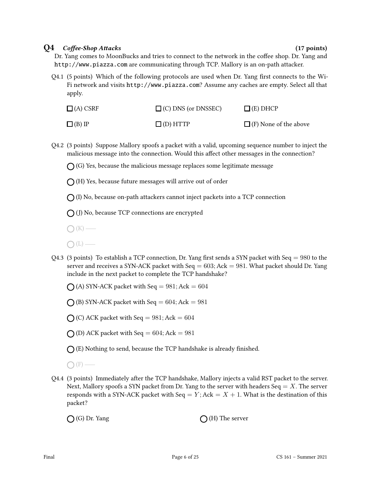#### $Q4$  Coffee-Shop Attacks (17 points)

Dr. Yang comes to MoonBucks and tries to connect to the network in the coffee shop. Dr. Yang and http://www.piazza.com are communicating through TCP. Mallory is an on-path attacker.

 $Q4.1$  (5 points) Which of the following protocols are used when Dr. Yang first connects to the Wi-Fi network and visits http://www.piazza.com? Assume any caches are empty. Select all that apply.

| $\Box$ (A) CSRF | $\Box$ (C) DNS (or DNSSEC) | $\Box$ (E) DHCP              |
|-----------------|----------------------------|------------------------------|
| $\Box$ (B) IP   | $\Box$ (D) HTTP            | $\Box$ (F) None of the above |

Q4.2 (3 points) Suppose Mallory spoofs a packet with a valid, upcoming sequence number to inject the malicious message into the connection. Would this affect other messages in the connection?

 $\bigcap$  (G) Yes, because the malicious message replaces some legitimate message

- $\bigcap$  (H) Yes, because future messages will arrive out of order
- $\bigcap$  (I) No, because on-path attackers cannot inject packets into a TCP connection
- $\bigcap$  (J) No, because TCP connections are encrypted
- $\bigcap (K)$  —
- $\bigcap(L)$ —
- Q4.3 (3 points) To establish a TCP connection, Dr. Yang first sends a SYN packet with Seq = 980 to the server and receives a SYN-ACK packet with Seq  $= 603$ ; Ack  $= 981$ . What packet should Dr. Yang include in the next packet to complete the TCP handshake?

 $\bigcap$  (A) SYN-ACK packet with Seq = 981; Ack = 604

 $\bigcap$  (B) SYN-ACK packet with Seq = 604; Ack = 981

 $\bigcap$  (C) ACK packet with Seq = 981; Ack = 604

 $\bigcap$  (D) ACK packet with Seq = 604; Ack = 981

 $\bigcap$  (E) Nothing to send, because the TCP handshake is already finished.

 $\bigcap$  (F) —

Q4.4 (3 points) Immediately after the TCP handshake, Mallory injects a valid RST packet to the server. Next, Mallory spoofs a SYN packet from Dr. Yang to the server with headers Seq  $=X$ . The server responds with a SYN-ACK packet with Seq  $= Y$ ; Ack  $= X + 1$ . What is the destination of this packet?

 $\bigcap$  (G) Dr. Yang  $\bigcap$  (H) The server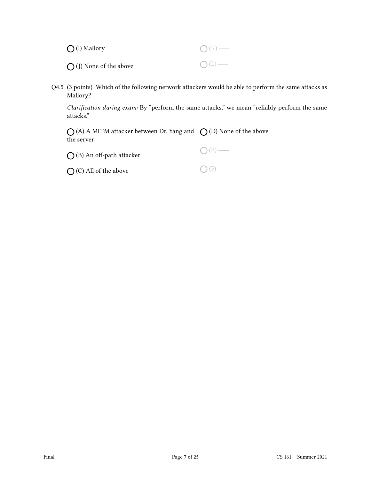| $\bigcirc$ (I) Mallory           | $\bigcap (K)$ —  |
|----------------------------------|------------------|
| $\bigcirc$ (J) None of the above | $\bigcirc$ (L) — |

Q4.5 (3 points) Which of the following network attackers would be able to perform the same attacks as Mallory?

Clarification during exam: By "perform the same attacks," we mean "reliably perform the same attacks."

(A) A MITM attacker between Dr. Yang and  $\,\,\bigcirc\,$  (D) None of the above the server

| $\bigcirc$ (B) An off-path attacker | $O(E)$ — |
|-------------------------------------|----------|
|-------------------------------------|----------|

 $O$  (C) All of the above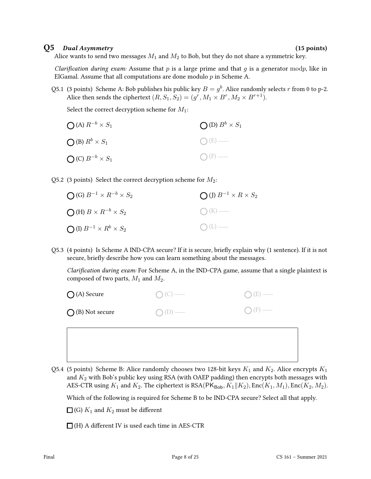#### Q5 Dual Asymmetry (15 points)

Alice wants to send two messages  $M_1$  and  $M_2$  to Bob, but they do not share a symmetric key.

Clarification during exam: Assume that  $p$  is a large prime and that  $g$  is a generator modp, like in ElGamal. Assume that all computations are done modulo  $p$  in Scheme A.

Q5.1 (3 points) Scheme A: Bob publishes his public key  $B = g^b$ . Alice randomly selects r from 0 to p-2. Alice then sends the ciphertext  $(R,S_1,S_2)=(g^r,M_1\times B^r,M_2\times B^{r+1}).$ 

Select the correct decryption scheme for  $M_1$ :

| $\bigcirc$ (A) $R^{-b} \times S_1$ | $\bigcirc$ (D) $B^b \times S_1$ |
|------------------------------------|---------------------------------|
| $\bigcirc$ (B) $R^b \times S_1$    | $O(E)$ —                        |
| $\bigcirc$ (C) $B^{-b} \times S_1$ | $\bigcirc$ (F) —                |

Q5.2 (3 points) Select the correct decryption scheme for  $M_2$ :

| $\bigcirc$ (G) $B^{-1} \times R^{-b} \times S_2$ | $\bigcap (J) B^{-1} \times R \times S_2$ |
|--------------------------------------------------|------------------------------------------|
| $\bigcirc$ (H) $B \times R^{-b} \times S_2$      | $O(K)$ —                                 |
| $\bigcirc$ (I) $B^{-1} \times R^b \times S_2$    | $O(L)$ —                                 |

Q5.3 (4 points) Is Scheme A IND-CPA secure? If it is secure, briefly explain why (1 sentence). If it is not secure, briefly describe how you can learn something about the messages.

Clarification during exam: For Scheme A, in the IND-CPA game, assume that a single plaintext is composed of two parts,  $M_1$  and  $M_2$ .

| $\bigcirc$ (A) Secure     | $\bigcirc$ (C) — | $\bigcirc$ (E) — |
|---------------------------|------------------|------------------|
| $\bigcirc$ (B) Not secure | $O(D)$ —         | $O(F)$ —         |
|                           |                  |                  |

Q5.4 (5 points) Scheme B: Alice randomly chooses two 128-bit keys  $K_1$  and  $K_2$ . Alice encrypts  $K_1$ and  $K_2$  with Bob's public key using RSA (with OAEP padding) then encrypts both messages with AES-CTR using  $K_1$  and  $K_2$ . The ciphertext is RSA(PK<sub>Bob</sub>,  $K_1||K_2$ ), Enc( $K_1, M_1$ ), Enc( $K_2, M_2$ ).

Which of the following is required for Scheme B to be IND-CPA secure? Select all that apply.

 $\Box$  (G)  $K_1$  and  $K_2$  must be different

 $\Box$  (H) A different IV is used each time in AES-CTR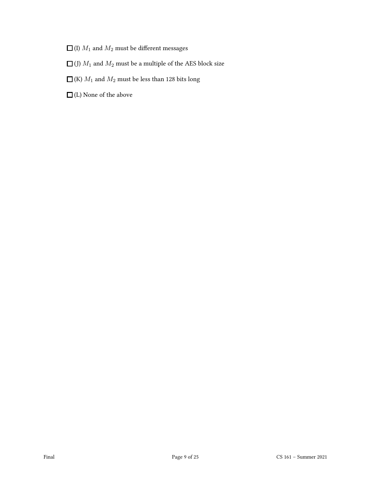- $\Box$  (I)  $M_1$  and  $M_2$  must be different messages
- $\Box$  (J)  $M_1$  and  $M_2$  must be a multiple of the AES block size
- $\Box$  (K)  $M_1$  and  $M_2$  must be less than 128 bits long
- $\hfill\Box$  <br> (L) None of the above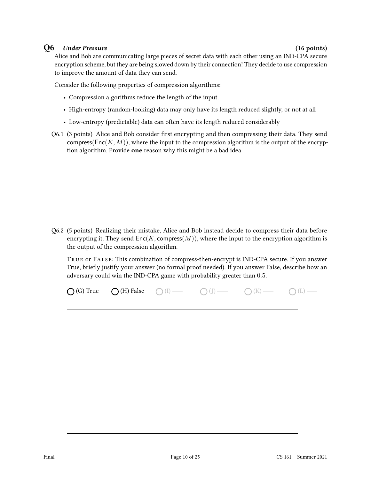#### Q6 Under Pressure (16 points)

Alice and Bob are communicating large pieces of secret data with each other using an IND-CPA secure encryption scheme, but they are being slowed down by their connection! They decide to use compression to improve the amount of data they can send.

Consider the following properties of compression algorithms:

- Compression algorithms reduce the length of the input.
- High-entropy (random-looking) data may only have its length reduced slightly, or not at all
- Low-entropy (predictable) data can often have its length reduced considerably
- Q6.1 (3 points) Alice and Bob consider first encrypting and then compressing their data. They send compress( $Enc(K, M)$ ), where the input to the compression algorithm is the output of the encryption algorithm. Provide one reason why this might be a bad idea.
- Q6.2 (5 points) Realizing their mistake, Alice and Bob instead decide to compress their data before
	- encrypting it. They send  $Enc(K, \text{compress}(M))$ , where the input to the encryption algorithm is the output of the compression algorithm.

True or False: This combination of compress-then-encrypt is IND-CPA secure. If you answer True, briefly justify your answer (no formal proof needed). If you answer False, describe how an adversary could win the IND-CPA game with probability greater than 0.5.

| $\bigcirc$ (G) True | $\bigcirc$ (H) False<br>$O$ (I) — | $O(J)$ — | $O(K)$ — | $O(L)$ — |
|---------------------|-----------------------------------|----------|----------|----------|
|---------------------|-----------------------------------|----------|----------|----------|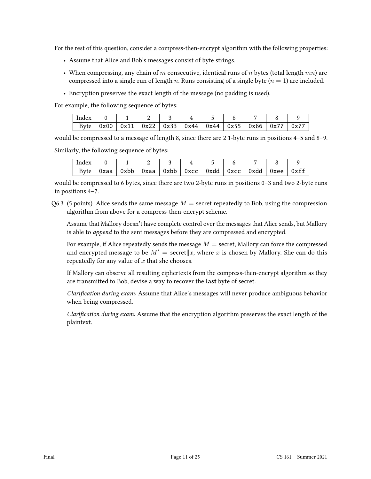For the rest of this question, consider a compress-then-encrypt algorithm with the following properties:

- Assume that Alice and Bob's messages consist of byte strings.
- When compressing, any chain of m consecutive, identical runs of n bytes (total length  $mn$ ) are compressed into a single run of length n. Runs consisting of a single byte  $(n = 1)$  are included.
- Encryption preserves the exact length of the message (no padding is used).

For example, the following sequence of bytes:

| $ $ Index $ $ 0 |                                                                            |  |  |  |  |
|-----------------|----------------------------------------------------------------------------|--|--|--|--|
|                 | Byte   0x00   0x11   0x22   0x33   0x44   0x44   0x55   0x66   0x77   0x77 |  |  |  |  |

would be compressed to a message of length 8, since there are 2 1-byte runs in positions 4–5 and 8–9.

Similarly, the following sequence of bytes:

| Index |      |      |        |                                         |  |  |      |
|-------|------|------|--------|-----------------------------------------|--|--|------|
| Byte  | 0xaa | 0xbb | Oxaa l | 0xbb   0xcc   0xdd   0xcc   0xdd   0xee |  |  | 0xff |

would be compressed to 6 bytes, since there are two 2-byte runs in positions 0–3 and two 2-byte runs in positions 4–7.

Q6.3 (5 points) Alice sends the same message  $M =$  secret repeatedly to Bob, using the compression algorithm from above for a compress-then-encrypt scheme.

Assume that Mallory doesn't have complete control over the messages that Alice sends, but Mallory is able to append to the sent messages before they are compressed and encrypted.

For example, if Alice repeatedly sends the message  $M =$  secret, Mallory can force the compressed and encrypted message to be  $M' =$  secret $\|x\|$ , where x is chosen by Mallory. She can do this repeatedly for any value of  $x$  that she chooses.

If Mallory can observe all resulting ciphertexts from the compress-then-encrypt algorithm as they are transmitted to Bob, devise a way to recover the last byte of secret.

Clarification during exam: Assume that Alice's messages will never produce ambiguous behavior when being compressed.

Clarification during exam: Assume that the encryption algorithm preserves the exact length of the plaintext.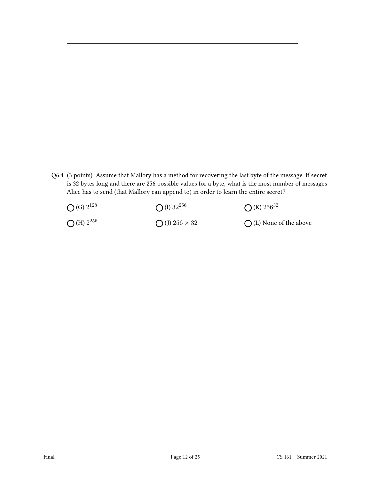

Q6.4 (3 points) Assume that Mallory has a method for recovering the last byte of the message. If secret is 32 bytes long and there are 256 possible values for a byte, what is the most number of messages Alice has to send (that Mallory can append to) in order to learn the entire secret?

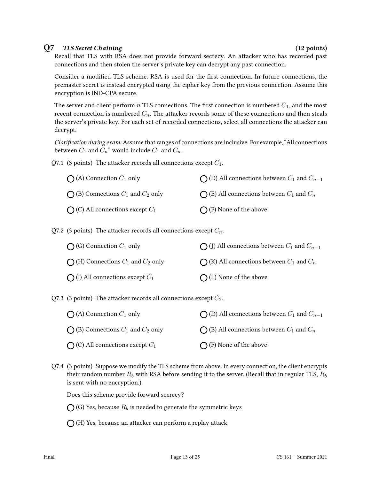#### Q7 TLS Secret Chaining (12 points)

Recall that TLS with RSA does not provide forward secrecy. An attacker who has recorded past connections and then stolen the server's private key can decrypt any past connection.

Consider a modified TLS scheme. RSA is used for the first connection. In future connections, the premaster secret is instead encrypted using the cipher key from the previous connection. Assume this encryption is IND-CPA secure.

The server and client perform n TLS connections. The first connection is numbered  $C_1$ , and the most recent connection is numbered  $C_n$ . The attacker records some of these connections and then steals the server's private key. For each set of recorded connections, select all connections the attacker can decrypt.

Clarification during exam: Assume that ranges of connections are inclusive. For example, "All connections between  $C_1$  and  $C_n$ " would include  $C_1$  and  $C_n$ .

Q7.1 (3 points) The attacker records all connections except  $C_1$ .

| $\bigcap$ (A) Connection $C_1$ only            | $\bigcap$ (D) All connections between $C_1$ and $C_{n-1}$ |
|------------------------------------------------|-----------------------------------------------------------|
| $\bigcap$ (B) Connections $C_1$ and $C_2$ only | $\bigcap$ (E) All connections between $C_1$ and $C_n$     |
| $\bigcap$ (C) All connections except $C_1$     | $\bigcap$ (F) None of the above                           |

Q7.2 (3 points) The attacker records all connections except  $C_n$ .

| $\bigcap$ (G) Connection $C_1$ only            | $\bigcap$ (J) All connections between $C_1$ and $C_{n-1}$ |
|------------------------------------------------|-----------------------------------------------------------|
| $\bigcap$ (H) Connections $C_1$ and $C_2$ only | $\bigcap$ (K) All connections between $C_1$ and $C_n$     |
| $\bigcap$ (I) All connections except $C_1$     | $\bigcap$ (L) None of the above                           |

Q7.3 (3 points) The attacker records all connections except  $C_2$ .

| $\bigcap$ (A) Connection $C_1$ only            | $\bigcap$ (D) All connections between $C_1$ and $C_{n-1}$ |
|------------------------------------------------|-----------------------------------------------------------|
| $\bigcap$ (B) Connections $C_1$ and $C_2$ only | $\bigcap$ (E) All connections between $C_1$ and $C_n$     |
| $\bigcap$ (C) All connections except $C_1$     | $\bigcap$ (F) None of the above                           |

Q7.4 (3 points) Suppose we modify the TLS scheme from above. In every connection, the client encrypts their random number  $R_b$  with RSA before sending it to the server. (Recall that in regular TLS,  $R_b$ is sent with no encryption.)

Does this scheme provide forward secrecy?

 $\bigcap$  (G) Yes, because  $R_b$  is needed to generate the symmetric keys

 $\bigcap$  (H) Yes, because an attacker can perform a replay attack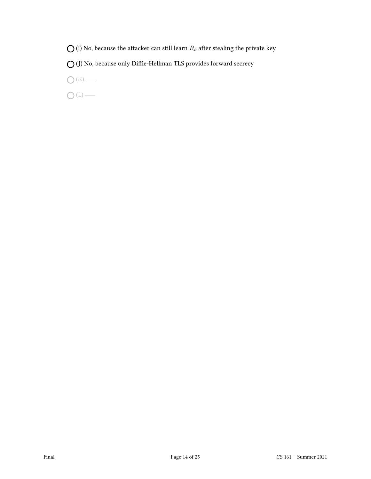$\bigcirc$  (I) No, because the attacker can still learn  $R_b$  after stealing the private key

 $\bigcirc$  (J) No, because only Diffie-Hellman TLS provides forward secrecy

 $\bigcirc$  (K) —

 $\bigcirc$  (L) —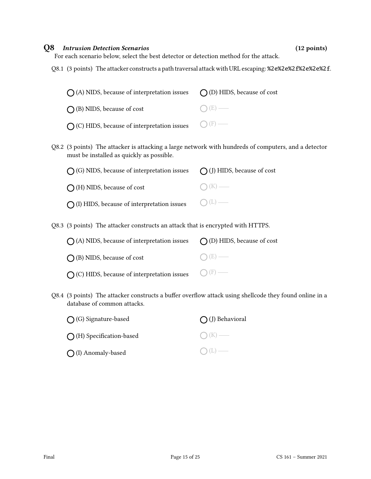#### Q8 Intrusion Detection Scenarios (12 points)

For each scenario below, select the best detector or detection method for the attack.

Q8.1 (3 points) The attacker constructs a path traversal attack with URL escaping: %2e%2e%2f%2e%2e%2f.

| $\bigcap$ (A) NIDS, because of interpretation issues $\bigcap$ (D) HIDS, because of cost |            |
|------------------------------------------------------------------------------------------|------------|
| $\bigcap$ (B) NIDS, because of cost                                                      | $() (E)$ — |
| $\bigcirc$ (C) HIDS, because of interpretation issues $\bigcirc$ (F) —                   |            |

Q8.2 (3 points) The attacker is attacking a large network with hundreds of computers, and a detector must be installed as quickly as possible.

| $\bigcap$ (G) NIDS, because of interpretation issues $\bigcap$ (J) HIDS, because of cost |                 |
|------------------------------------------------------------------------------------------|-----------------|
| $\bigcap$ (H) NIDS, because of cost                                                      | $\bigcap (K)$ — |
| $\bigcirc$ (I) HIDS, because of interpretation issues $\bigcirc$ (L) —                   |                 |

Q8.3 (3 points) The attacker constructs an attack that is encrypted with HTTPS.

| $\bigcap$ (A) NIDS, because of interpretation issues $\bigcap$ (D) HIDS, because of cost |                 |
|------------------------------------------------------------------------------------------|-----------------|
| $\bigcap$ (B) NIDS, because of cost                                                      | $\bigcap (E)$ — |
| $\bigcirc$ (C) HIDS, because of interpretation issues $\bigcirc$ (F) —                   |                 |

Q8.4 (3 points) The attacker constructs a buffer overflow attack using shellcode they found online in a database of common attacks.

| $\bigcirc$ (G) Signature-based     | $\bigcap$ (J) Behavioral |  |  |
|------------------------------------|--------------------------|--|--|
| $\bigcirc$ (H) Specification-based | $\bigcap (K)$ —          |  |  |
| $\bigcirc$ (I) Anomaly-based       | $\bigcap(L)$ —           |  |  |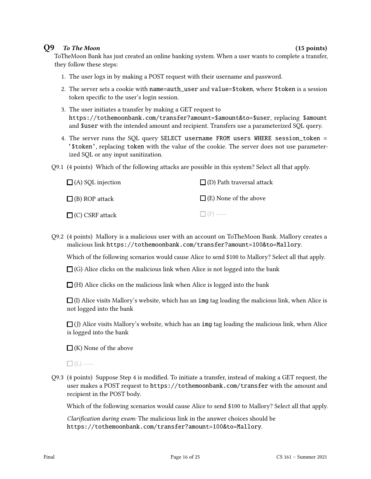#### Q9 To The Moon (15 points) (15 points)

ToTheMoon Bank has just created an online banking system. When a user wants to complete a transfer, they follow these steps:

- 1. The user logs in by making a POST request with their username and password.
- 2. The server sets a cookie with name=auth\_user and value=\$token, where \$token is a session token specific to the user's login session.
- 3. The user initiates a transfer by making a GET request to https://tothemoonbank.com/transfer?amount=\$amount&to=\$user, replacing \$amount and \$user with the intended amount and recipient. Transfers use a parameterized SQL query.
- 4. The server runs the SQL query SELECT username FROM users WHERE session\_token = '\$token', replacing token with the value of the cookie. The server does not use parameterized SQL or any input sanitization.
- Q9.1 (4 points) Which of the following attacks are possible in this system? Select all that apply.

| $\Box$ (A) SQL injection | $\Box$ (D) Path traversal attack |
|--------------------------|----------------------------------|
| $\Box$ (B) ROP attack    | $\Box$ (E) None of the above     |
| $\Box$ (C) CSRF attack   | $\Box$ (F) —                     |

Q9.2 (4 points) Mallory is a malicious user with an account on ToTheMoon Bank. Mallory creates a malicious link https://tothemoonbank.com/transfer?amount=100&to=Mallory.

Which of the following scenarios would cause Alice to send \$100 to Mallory? Select all that apply.

 $\Box$  (G) Alice clicks on the malicious link when Alice is not logged into the bank

 $\Box$  (H) Alice clicks on the malicious link when Alice is logged into the bank

 $\Box$  (I) Alice visits Mallory's website, which has an img tag loading the malicious link, when Alice is not logged into the bank

 $\Box$  (J) Alice visits Mallory's website, which has an img tag loading the malicious link, when Alice is logged into the bank

 $\Box$  (K) None of the above

 $\Box$ (L) —

Q9.3 (4 points) Suppose Step 4 is modied. To initiate a transfer, instead of making a GET request, the user makes a POST request to https://tothemoonbank.com/transfer with the amount and recipient in the POST body.

Which of the following scenarios would cause Alice to send \$100 to Mallory? Select all that apply.

Clarification during exam: The malicious link in the answer choices should be https://tothemoonbank.com/transfer?amount=100&to=Mallory.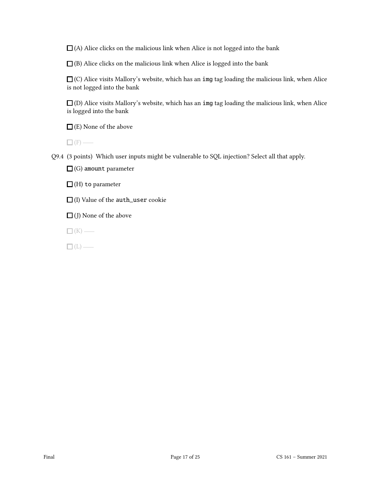$\Box$  (A) Alice clicks on the malicious link when Alice is not logged into the bank

 $\Box$ (B) Alice clicks on the malicious link when Alice is logged into the bank

 $\Box$  (C) Alice visits Mallory's website, which has an img tag loading the malicious link, when Alice is not logged into the bank

 $\Box$  (D) Alice visits Mallory's website, which has an img tag loading the malicious link, when Alice is logged into the bank

 $\Box$  (E) None of the above

 $\Box$  (F) —

Q9.4 (3 points) Which user inputs might be vulnerable to SQL injection? Select all that apply.

 $\Box$  (G) amount parameter

 $\Box$ (H) to parameter

 $\Box$  (I) Value of the auth\_user cookie

 $\Box$  (J) None of the above

 $\Box$ (K) —

 $\Box$ (L) —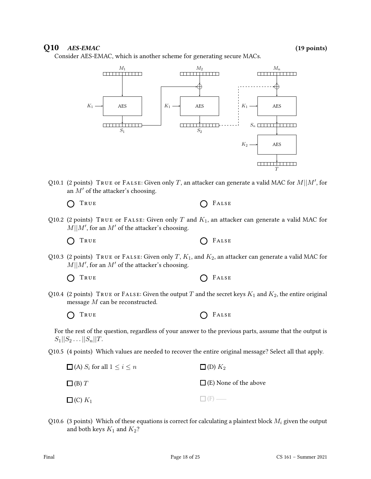### $Q10$   $AES-EMAC$  (19 points)

Consider AES-EMAC, which is another scheme for generating secure MACs.



Q10.1 (2 points) TRUE or FALSE: Given only T, an attacker can generate a valid MAC for  $M||M'$ , for an  $M'$  of the attacker's choosing.

| O TRUE | $\bigcap$ FALSE |
|--------|-----------------|
|--------|-----------------|

Q10.2 (2 points) TRUE or FALSE: Given only T and  $K_1$ , an attacker can generate a valid MAC for  $M||M'$ , for an M' of the attacker's choosing.

 $\bigcap$  True  $\bigcap$  False

Q10.3 (2 points) TRUE or FALSE: Given only T,  $K_1$ , and  $K_2$ , an attacker can generate a valid MAC for  $M||M'$ , for an  $M'$  of the attacker's choosing.

 $\bigcap$  True  $\bigcap$  False

Q10.4 (2 points) TRUE or FALSE: Given the output T and the secret keys  $K_1$  and  $K_2$ , the entire original message  $M$  can be reconstructed.

| O TRUE | $O$ FALSE |
|--------|-----------|
|--------|-----------|

For the rest of the question, regardless of your answer to the previous parts, assume that the output is  $S_1||S_2...||S_n||T.$ 

Q10.5 (4 points) Which values are needed to recover the entire original message? Select all that apply.

| $\Box$ (A) $S_i$ for all $1 \leq i \leq n$ | $\Box$ (D) $K_2$             |
|--------------------------------------------|------------------------------|
| $\Box$ (B) T                               | $\Box$ (E) None of the above |
| $\Box$ (C) $K_1$                           | $\Box$ (F) —                 |

Q10.6 (3 points) Which of these equations is correct for calculating a plaintext block  $M_i$  given the output and both keys  $K_1$  and  $K_2$ ?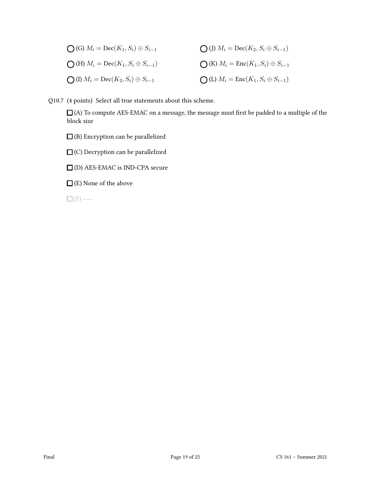| $\bigcap$ (G) $M_i = \text{Dec}(K_1, S_i) \oplus S_{i-1}$  | $\bigcirc$ (J) $M_i = \text{Dec}(K_2, S_i \oplus S_{i-1})$ |
|------------------------------------------------------------|------------------------------------------------------------|
| $\bigcirc$ (H) $M_i = \text{Dec}(K_1, S_i \oplus S_{i-1})$ | $\bigcirc$ (K) $M_i = \text{Enc}(K_1, S_i) \oplus S_{i-1}$ |
| $\bigcirc$ (I) $M_i = \text{Dec}(K_2, S_i) \oplus S_{i-1}$ | $\bigcirc$ (L) $M_i = \text{Enc}(K_1, S_i \oplus S_{i-1})$ |

Q10.7 (4 points) Select all true statements about this scheme.

 $\Box$  (A) To compute AES-EMAC on a message, the message must first be padded to a multiple of the block size

 $\square$  (B) Encryption can be parallelized

 $\square$  (C) Decryption can be parallelized

(D) AES-EMAC is IND-CPA secure

 $\Box$  (E) None of the above

 $\square$  (F) —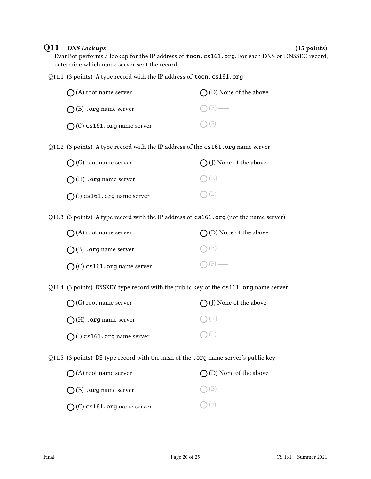### Q11 DNS Lookups (15 points)

EvanBot performs a lookup for the IP address of toon.cs161.org. For each DNS or DNSSEC record, determine which name server sent the record.

Q11.1 (3 points) A type record with the IP address of toon.cs161.org

| $(A)$ root name server                                                                  | $\bigcap$ (D) None of the above |  |
|-----------------------------------------------------------------------------------------|---------------------------------|--|
| $\bigcap$ (B) . org name server                                                         | (E)                             |  |
| $O(C)$ cs161.org name server                                                            |                                 |  |
| Q11.2 (3 points) A type record with the IP address of the cs161.org name server         |                                 |  |
| $\bigcap$ (G) root name server                                                          | $\bigcap$ (J) None of the above |  |
| $\bigcap$ (H) . org name server                                                         |                                 |  |
| $\bigcap$ (I) cs161.org name server                                                     |                                 |  |
| Q11.3 (3 points) A type record with the IP address of $cs161.org$ (not the name server) |                                 |  |
| (A) root name server                                                                    | $\bigcap$ (D) None of the above |  |
| $\bigcap$ (B) . org name server                                                         |                                 |  |
| $\bigcap$ (C) cs161.org name server                                                     |                                 |  |
| Q11.4 (3 points) DNSKEY type record with the public key of the cs161.org name server    |                                 |  |
| (G) root name server                                                                    | (J) None of the above           |  |
|                                                                                         |                                 |  |

 $\bigcap$  (I) cs161.org name server  $\bigcirc$  (L) —

 $\bigcap$  (H) .org name server

Q11.5 (3 points) DS type record with the hash of the .org name server's public key

| $\bigcap$ (A) root name server      | $\bigcap$ (D) None of the above |
|-------------------------------------|---------------------------------|
| $\bigcap$ (B) . org name server     | $O(E)$ —                        |
| $\bigcap$ (C) cs161.org name server | $\bigcap$ (F) —                 |

 $\bigcirc$  (K)  $\longleftarrow$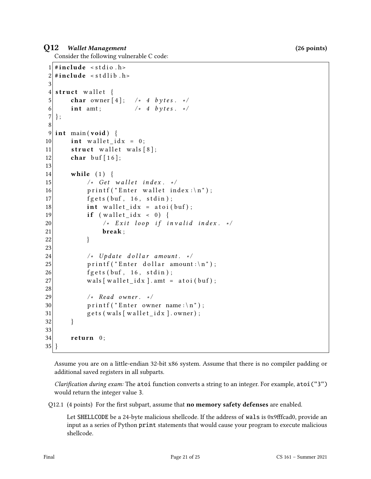### Q12 Wallet Management (26 points)

Consider the following vulnerable C code:

```
1 \# include \le stdio . h>
2 \times #include < stdlib.h>
3
4 struct wallet {
5 char owner [4]; /* 4 bytes. */
6 int amt; \frac{1}{2} /* 4 bytes. */
7 };
8
9 int main (void) {
10 int wallet_idx = 0;
11 \vert struct wallet wals [8];
12 char buf [16];
13
14 while (1) {
15 \vert \star Get wallet index. \star/
16 printf ("Enter wallet index:\langle n" \rangle;
17 fgets (buf, 16, stdin);
18 int \text{ wallet } idx = \text{ atoi (buf)};19 if (wallet_idx < 0)20 \vert /* Exit loop if invalid index. */
21 break;
22 }
23
24 \vert /* Update dollar amount. */
25 printf ("Enter dollar amount:\n");
26 fgets (buf, 16, stdin);
27 wals [wallet_idx]. amt = atoi(buf);
28
29 /* Read owner. */30 printf ("Enter owner name:\n");
31 gets (wals [wallet idx]. owner);
32 }
33
34 return 0;
35 }
```
Assume you are on a little-endian 32-bit x86 system. Assume that there is no compiler padding or additional saved registers in all subparts.

*Clarification during exam:* The atoi function converts a string to an integer. For example, atoi ("3") would return the integer value 3.

Q12.1 (4 points) For the first subpart, assume that **no memory safety defenses** are enabled.

Let SHELLCODE be a 24-byte malicious shellcode. If the address of wals is 0x9fffcad0, provide an input as a series of Python print statements that would cause your program to execute malicious shellcode.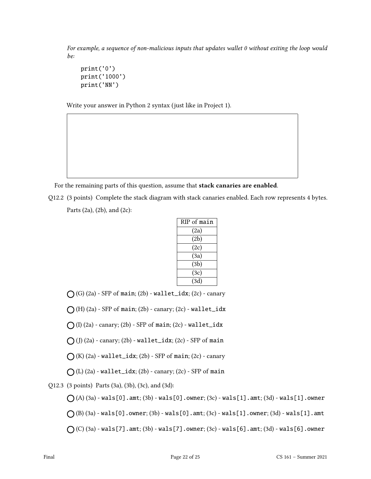For example, a sequence of non-malicious inputs that updates wallet 0 without exiting the loop would be:

```
print('0')
print('1000')
print('NN')
```
Write your answer in Python 2 syntax (just like in Project 1).

For the remaining parts of this question, assume that stack canaries are enabled.

Q12.2 (3 points) Complete the stack diagram with stack canaries enabled. Each row represents 4 bytes. Parts (2a), (2b), and (2c):

| RIP of main |
|-------------|
| (2a)        |
| (2b)        |
| (2c)        |
| (3a)        |
| (3b)        |
| (3c)        |
| (3d)        |
|             |

 $\bigcap$  (G) (2a) - SFP of main; (2b) - wallet\_idx; (2c) - canary

 $\bigcap$  (H) (2a) - SFP of main; (2b) - canary; (2c) - wallet\_idx

 $\bigcap$  (I) (2a) - canary; (2b) - SFP of main; (2c) - wallet\_idx

 $\bigcap$  (J) (2a) - canary; (2b) - wallet\_idx; (2c) - SFP of main

 $\bigcap$  (K) (2a) - wallet\_idx; (2b) - SFP of main; (2c) - canary

 $\bigcap$  (L) (2a) - wallet\_idx; (2b) - canary; (2c) - SFP of main

Q12.3 (3 points) Parts (3a), (3b), (3c), and (3d):

 $\bigcap (A) (3a)$  - wals[0].amt; (3b) - wals[0].owner; (3c) - wals[1].amt; (3d) - wals[1].owner  $\bigcap$  (B) (3a) - wals[0].owner; (3b) - wals[0].amt; (3c) - wals[1].owner; (3d) - wals[1].amt

 $\bigcap$  (C) (3a) - wals[7].amt; (3b) - wals[7].owner; (3c) - wals[6].amt; (3d) - wals[6].owner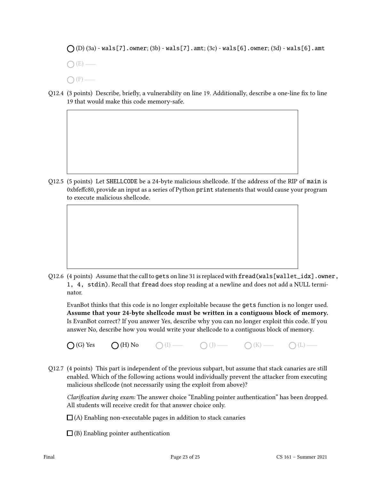$\bigcap (D) (3a)$  - wals[7].owner; (3b) - wals[7].amt; (3c) - wals[6].owner; (3d) - wals[6].amt

 $\bigcap$  (E) —

- $\bigcap$  (F) —
- Q12.4 (3 points) Describe, briefly, a vulnerability on line 19. Additionally, describe a one-line fix to line 19 that would make this code memory-safe.

Q12.5 (5 points) Let SHELLCODE be a 24-byte malicious shellcode. If the address of the RIP of main is 0xbfeffc80, provide an input as a series of Python print statements that would cause your program to execute malicious shellcode.

Q12.6 (4 points) Assume that the call to gets on line 31 is replaced with  $\texttt{fread(wals[wallet_idx].owner}$ , 1, 4, stdin). Recall that fread does stop reading at a newline and does not add a NULL terminator.

EvanBot thinks that this code is no longer exploitable because the gets function is no longer used. Assume that your 24-byte shellcode must be written in a contiguous block of memory. Is EvanBot correct? If you answer Yes, describe why you can no longer exploit this code. If you answer No, describe how you would write your shellcode to a contiguous block of memory.



Q12.7 (4 points) This part is independent of the previous subpart, but assume that stack canaries are still enabled. Which of the following actions would individually prevent the attacker from executing malicious shellcode (not necessarily using the exploit from above)?

Clarification during exam: The answer choice "Enabling pointer authentication" has been dropped. All students will receive credit for that answer choice only.

- $\Box$  (A) Enabling non-executable pages in addition to stack canaries
- $\Box$  (B) Enabling pointer authentication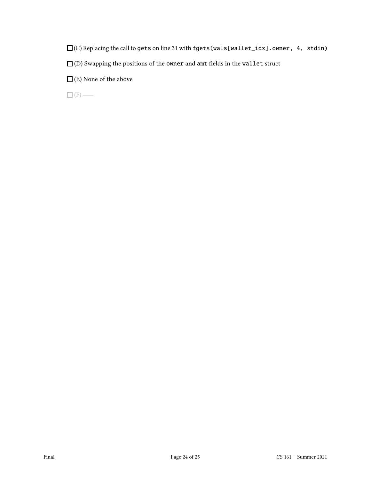$\square$  (C) Replacing the call to gets on line 31 with fgets (wals[wallet\_idx].owner, 4, stdin)

 $\square$  (D) Swapping the positions of the owner and amt fields in the wallet struct

 $\square$  (E) None of the above

 $\Box (F)$